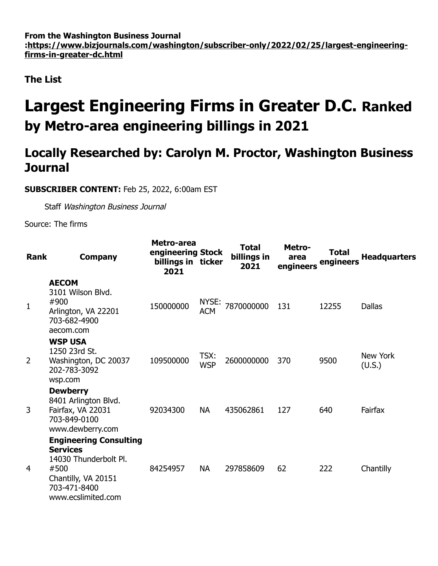**From the Washington Business Journal [:https://www.bizjournals.com/washington/subscriber-only/2022/02/25/largest-engineering](https://www.bizjournals.com/washington/subscriber-only/2022/02/25/largest-engineering-firms-in-greater-dc.html)firms-in-greater-dc.html**

**The List**

## **Largest Engineering Firms in Greater D.C. Ranked by Metro-area engineering billings in 2021**

## **Locally Researched by: Carolyn M. Proctor, Washington Business Journal**

**SUBSCRIBER CONTENT:** Feb 25, 2022, 6:00am EST

Staff Washington Business Journal

Source: The firms

| Rank           | <b>Company</b>                                                                                                                                 | Metro-area<br>engineering Stock<br>billings in ticker<br>2021 |                     | <b>Total</b><br>billings in<br>2021 | Metro-<br>area<br>engineers | <b>Total</b><br>engineers | <b>Headquarters</b>       |
|----------------|------------------------------------------------------------------------------------------------------------------------------------------------|---------------------------------------------------------------|---------------------|-------------------------------------|-----------------------------|---------------------------|---------------------------|
| $\mathbf 1$    | <b>AECOM</b><br>3101 Wilson Blvd.<br>#900<br>Arlington, VA 22201<br>703-682-4900<br>aecom.com                                                  | 150000000                                                     | NYSE:<br><b>ACM</b> | 7870000000                          | 131                         | 12255                     | <b>Dallas</b>             |
| $\overline{2}$ | <b>WSP USA</b><br>1250 23rd St.<br>Washington, DC 20037<br>202-783-3092<br>wsp.com                                                             | 109500000                                                     | TSX:<br><b>WSP</b>  | 2600000000                          | 370                         | 9500                      | <b>New York</b><br>(U.S.) |
| 3              | <b>Dewberry</b><br>8401 Arlington Blvd.<br>Fairfax, VA 22031<br>703-849-0100<br>www.dewberry.com                                               | 92034300                                                      | <b>NA</b>           | 435062861                           | 127                         | 640                       | Fairfax                   |
| 4              | <b>Engineering Consulting</b><br><b>Services</b><br>14030 Thunderbolt Pl.<br>#500<br>Chantilly, VA 20151<br>703-471-8400<br>www.ecslimited.com | 84254957                                                      | <b>NA</b>           | 297858609                           | 62                          | 222                       | Chantilly                 |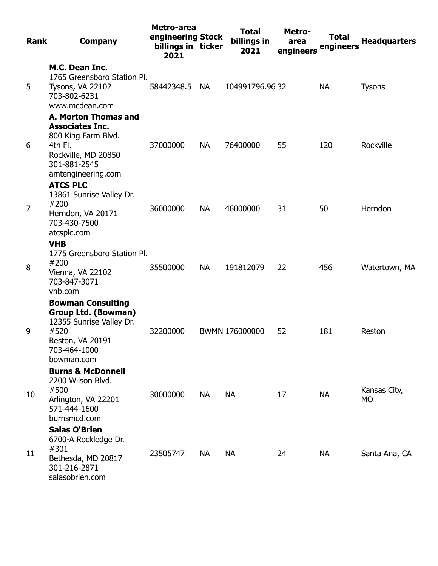| <b>Rank</b>    | <b>Company</b>                                                                                                                                | Metro-area<br>engineering Stock<br>billings in ticker<br>2021 |           | <b>Total</b><br>billings in<br>2021 | Metro-<br>area<br>engineers | <b>Total</b><br>engineers | <b>Headquarters</b> |
|----------------|-----------------------------------------------------------------------------------------------------------------------------------------------|---------------------------------------------------------------|-----------|-------------------------------------|-----------------------------|---------------------------|---------------------|
| 5              | M.C. Dean Inc.<br>1765 Greensboro Station Pl.<br>Tysons, VA 22102<br>703-802-6231<br>www.mcdean.com                                           | 58442348.5 NA                                                 |           | 104991796.9632                      |                             | <b>NA</b>                 | <b>Tysons</b>       |
| 6              | A. Morton Thomas and<br><b>Associates Inc.</b><br>800 King Farm Blvd.<br>4th Fl.<br>Rockville, MD 20850<br>301-881-2545<br>amtengineering.com | 37000000                                                      | <b>NA</b> | 76400000                            | 55                          | 120                       | Rockville           |
| $\overline{7}$ | <b>ATCS PLC</b><br>13861 Sunrise Valley Dr.<br>#200<br>Herndon, VA 20171<br>703-430-7500<br>atcsplc.com                                       | 36000000                                                      | <b>NA</b> | 46000000                            | 31                          | 50                        | Herndon             |
| 8              | <b>VHB</b><br>1775 Greensboro Station Pl.<br>#200<br>Vienna, VA 22102<br>703-847-3071<br>vhb.com                                              | 35500000                                                      | <b>NA</b> | 191812079                           | 22                          | 456                       | Watertown, MA       |
| 9              | <b>Bowman Consulting</b><br><b>Group Ltd. (Bowman)</b><br>12355 Sunrise Valley Dr.<br>#520<br>Reston, VA 20191<br>703-464-1000<br>bowman.com  | 32200000                                                      |           | BWMN 176000000                      | 52                          | 181                       | Reston              |
| 10             | <b>Burns &amp; McDonnell</b><br>2200 Wilson Blvd.<br>#500<br>Arlington, VA 22201<br>571-444-1600<br>burnsmcd.com                              | 30000000                                                      | <b>NA</b> | <b>NA</b>                           | 17                          | <b>NA</b>                 | Kansas City,<br>MO  |
| 11             | <b>Salas O'Brien</b><br>6700-A Rockledge Dr.<br>#301<br>Bethesda, MD 20817<br>301-216-2871<br>salasobrien.com                                 | 23505747                                                      | NA.       | <b>NA</b>                           | 24                          | NA                        | Santa Ana, CA       |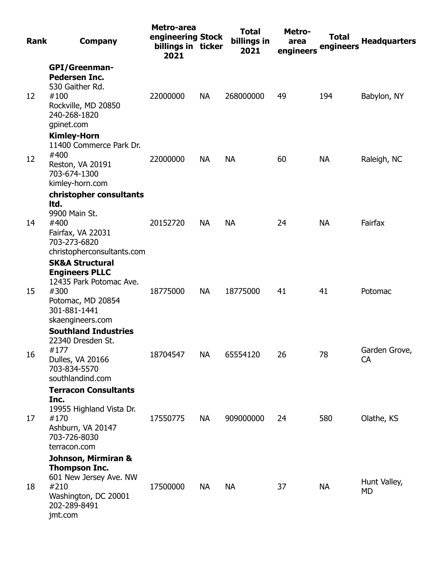| <b>Rank</b> | <b>Company</b>                                                                                                                                  | Metro-area<br>engineering Stock<br>billings in ticker<br>2021 |           | <b>Total</b><br>billings in<br>2021 | Metro-<br>area<br>engineers | <b>Total</b><br>engineers | <b>Headquarters</b> |
|-------------|-------------------------------------------------------------------------------------------------------------------------------------------------|---------------------------------------------------------------|-----------|-------------------------------------|-----------------------------|---------------------------|---------------------|
| 12          | <b>GPI/Greenman-</b><br><b>Pedersen Inc.</b><br>530 Gaither Rd.<br>#100<br>Rockville, MD 20850<br>240-268-1820<br>gpinet.com                    | 22000000                                                      | <b>NA</b> | 268000000                           | 49                          | 194                       | Babylon, NY         |
| 12          | <b>Kimley-Horn</b><br>11400 Commerce Park Dr.<br>#400<br>Reston, VA 20191<br>703-674-1300<br>kimley-horn.com                                    | 22000000                                                      | <b>NA</b> | <b>NA</b>                           | 60                          | <b>NA</b>                 | Raleigh, NC         |
| 14          | christopher consultants<br>Itd.<br>9900 Main St.<br>#400<br>Fairfax, VA 22031<br>703-273-6820<br>christopherconsultants.com                     | 20152720                                                      | <b>NA</b> | <b>NA</b>                           | 24                          | <b>NA</b>                 | Fairfax             |
| 15          | <b>SK&amp;A Structural</b><br><b>Engineers PLLC</b><br>12435 Park Potomac Ave.<br>#300<br>Potomac, MD 20854<br>301-881-1441<br>skaengineers.com | 18775000                                                      | <b>NA</b> | 18775000                            | 41                          | 41                        | Potomac             |
| 16          | <b>Southland Industries</b><br>22340 Dresden St.<br>#177<br>Dulles, VA 20166<br>703-834-5570<br>southlandind.com                                | 18704547                                                      | <b>NA</b> | 65554120                            | 26                          | 78                        | Garden Grove,<br>CA |
| 17          | <b>Terracon Consultants</b><br>Inc.<br>19955 Highland Vista Dr.<br>#170<br>Ashburn, VA 20147<br>703-726-8030<br>terracon.com                    | 17550775                                                      | NA        | 909000000                           | 24                          | 580                       | Olathe, KS          |
| 18          | Johnson, Mirmiran &<br><b>Thompson Inc.</b><br>601 New Jersey Ave. NW<br>#210<br>Washington, DC 20001<br>202-289-8491<br>jmt.com                | 17500000                                                      | <b>NA</b> | <b>NA</b>                           | 37                          | <b>NA</b>                 | Hunt Valley,<br>MD  |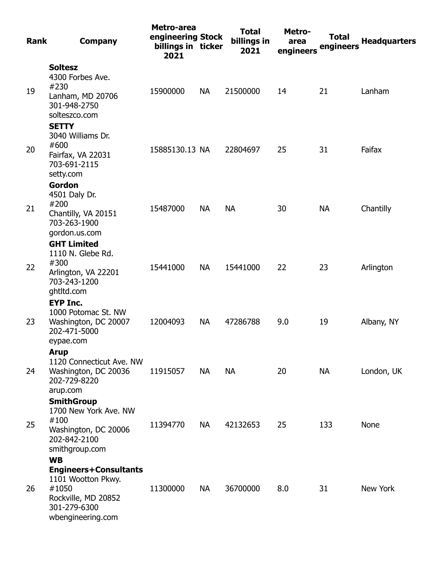| Rank | <b>Company</b>                                                                                                                       | Metro-area<br>engineering Stock<br>billings in ticker<br>2021 |           | <b>Total</b><br>billings in<br>2021 | Metro-<br>area<br>engineers | <b>Total</b><br>engineers | <b>Headquarters</b> |
|------|--------------------------------------------------------------------------------------------------------------------------------------|---------------------------------------------------------------|-----------|-------------------------------------|-----------------------------|---------------------------|---------------------|
| 19   | <b>Soltesz</b><br>4300 Forbes Ave.<br>#230<br>Lanham, MD 20706<br>301-948-2750<br>solteszco.com                                      | 15900000                                                      | <b>NA</b> | 21500000                            | 14                          | 21                        | Lanham              |
| 20   | <b>SETTY</b><br>3040 Williams Dr.<br>#600<br>Fairfax, VA 22031<br>703-691-2115<br>setty.com                                          | 15885130.13 NA                                                |           | 22804697                            | 25                          | 31                        | Faifax              |
| 21   | <b>Gordon</b><br>4501 Daly Dr.<br>#200<br>Chantilly, VA 20151<br>703-263-1900<br>gordon.us.com                                       | 15487000                                                      | <b>NA</b> | <b>NA</b>                           | 30                          | <b>NA</b>                 | Chantilly           |
| 22   | <b>GHT Limited</b><br>1110 N. Glebe Rd.<br>#300<br>Arlington, VA 22201<br>703-243-1200<br>ghtltd.com                                 | 15441000                                                      | <b>NA</b> | 15441000                            | 22                          | 23                        | Arlington           |
| 23   | <b>EYP Inc.</b><br>1000 Potomac St. NW<br>Washington, DC 20007<br>202-471-5000<br>eypae.com                                          | 12004093                                                      | <b>NA</b> | 47286788                            | 9.0                         | 19                        | Albany, NY          |
| 24   | <b>Arup</b><br>1120 Connecticut Ave. NW<br>Washington, DC 20036<br>202-729-8220<br>arup.com                                          | 11915057                                                      | <b>NA</b> | <b>NA</b>                           | 20                          | <b>NA</b>                 | London, UK          |
| 25   | <b>SmithGroup</b><br>1700 New York Ave. NW<br>#100<br>Washington, DC 20006<br>202-842-2100<br>smithgroup.com                         | 11394770                                                      | <b>NA</b> | 42132653                            | 25                          | 133                       | None                |
| 26   | <b>WB</b><br><b>Engineers+Consultants</b><br>1101 Wootton Pkwy.<br>#1050<br>Rockville, MD 20852<br>301-279-6300<br>wbengineering.com | 11300000                                                      | <b>NA</b> | 36700000                            | 8.0                         | 31                        | New York            |